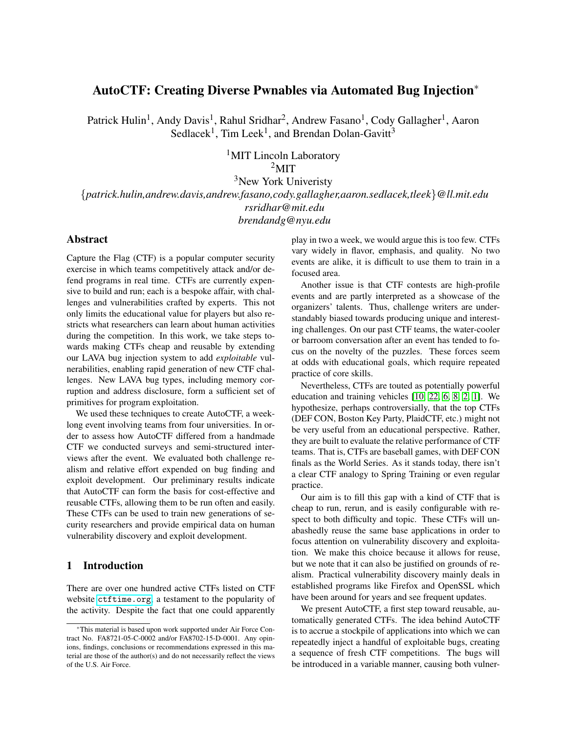# AutoCTF: Creating Diverse Pwnables via Automated Bug Injection<sup>∗</sup>

Patrick Hulin<sup>1</sup>, Andy Davis<sup>1</sup>, Rahul Sridhar<sup>2</sup>, Andrew Fasano<sup>1</sup>, Cody Gallagher<sup>1</sup>, Aaron Sedlacek<sup>1</sup>, Tim Leek<sup>1</sup>, and Brendan Dolan-Gavitt<sup>3</sup>

> <sup>1</sup>MIT Lincoln Laboratory  $2$ MIT

<sup>3</sup>New York Univeristy {*patrick.hulin,andrew.davis,andrew.fasano,cody.gallagher,aaron.sedlacek,tleek*}*@ll.mit.edu rsridhar@mit.edu brendandg@nyu.edu*

## Abstract

Capture the Flag (CTF) is a popular computer security exercise in which teams competitively attack and/or defend programs in real time. CTFs are currently expensive to build and run; each is a bespoke affair, with challenges and vulnerabilities crafted by experts. This not only limits the educational value for players but also restricts what researchers can learn about human activities during the competition. In this work, we take steps towards making CTFs cheap and reusable by extending our LAVA bug injection system to add *exploitable* vulnerabilities, enabling rapid generation of new CTF challenges. New LAVA bug types, including memory corruption and address disclosure, form a sufficient set of primitives for program exploitation.

We used these techniques to create AutoCTF, a weeklong event involving teams from four universities. In order to assess how AutoCTF differed from a handmade CTF we conducted surveys and semi-structured interviews after the event. We evaluated both challenge realism and relative effort expended on bug finding and exploit development. Our preliminary results indicate that AutoCTF can form the basis for cost-effective and reusable CTFs, allowing them to be run often and easily. These CTFs can be used to train new generations of security researchers and provide empirical data on human vulnerability discovery and exploit development.

## 1 Introduction

There are over one hundred active CTFs listed on CTF website <ctftime.org>, a testament to the popularity of the activity. Despite the fact that one could apparently play in two a week, we would argue this is too few. CTFs vary widely in flavor, emphasis, and quality. No two events are alike, it is difficult to use them to train in a focused area.

Another issue is that CTF contests are high-profile events and are partly interpreted as a showcase of the organizers' talents. Thus, challenge writers are understandably biased towards producing unique and interesting challenges. On our past CTF teams, the water-cooler or barroom conversation after an event has tended to focus on the novelty of the puzzles. These forces seem at odds with educational goals, which require repeated practice of core skills.

Nevertheless, CTFs are touted as potentially powerful education and training vehicles [\[10,](#page-8-0) [22,](#page-9-0) [6,](#page-8-1) [8,](#page-8-2) [2,](#page-8-3) [1\]](#page-8-4). We hypothesize, perhaps controversially, that the top CTFs (DEF CON, Boston Key Party, PlaidCTF, etc.) might not be very useful from an educational perspective. Rather, they are built to evaluate the relative performance of CTF teams. That is, CTFs are baseball games, with DEF CON finals as the World Series. As it stands today, there isn't a clear CTF analogy to Spring Training or even regular practice.

Our aim is to fill this gap with a kind of CTF that is cheap to run, rerun, and is easily configurable with respect to both difficulty and topic. These CTFs will unabashedly reuse the same base applications in order to focus attention on vulnerability discovery and exploitation. We make this choice because it allows for reuse, but we note that it can also be justified on grounds of realism. Practical vulnerability discovery mainly deals in established programs like Firefox and OpenSSL which have been around for years and see frequent updates.

We present AutoCTF, a first step toward reusable, automatically generated CTFs. The idea behind AutoCTF is to accrue a stockpile of applications into which we can repeatedly inject a handful of exploitable bugs, creating a sequence of fresh CTF competitions. The bugs will be introduced in a variable manner, causing both vulner-

<sup>∗</sup>This material is based upon work supported under Air Force Contract No. FA8721-05-C-0002 and/or FA8702-15-D-0001. Any opinions, findings, conclusions or recommendations expressed in this material are those of the author(s) and do not necessarily reflect the views of the U.S. Air Force.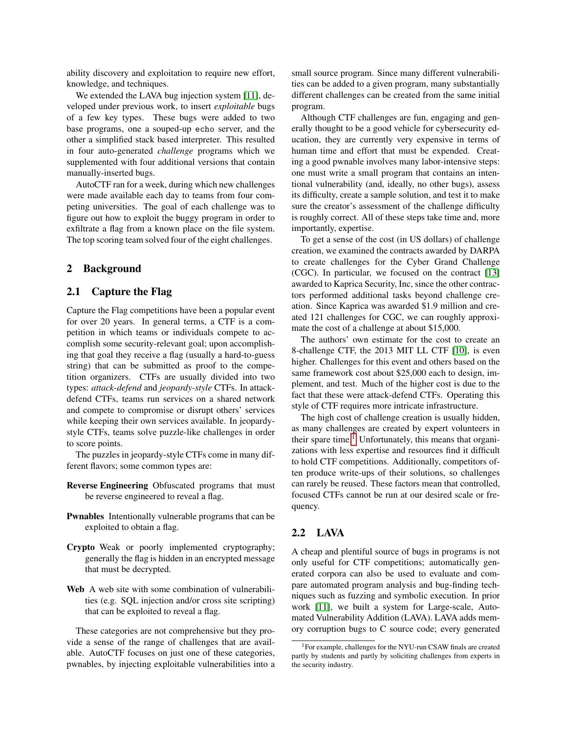ability discovery and exploitation to require new effort, knowledge, and techniques.

We extended the LAVA bug injection system [\[11\]](#page-8-5), developed under previous work, to insert *exploitable* bugs of a few key types. These bugs were added to two base programs, one a souped-up echo server, and the other a simplified stack based interpreter. This resulted in four auto-generated *challenge* programs which we supplemented with four additional versions that contain manually-inserted bugs.

AutoCTF ran for a week, during which new challenges were made available each day to teams from four competing universities. The goal of each challenge was to figure out how to exploit the buggy program in order to exfiltrate a flag from a known place on the file system. The top scoring team solved four of the eight challenges.

#### 2 Background

#### 2.1 Capture the Flag

Capture the Flag competitions have been a popular event for over 20 years. In general terms, a CTF is a competition in which teams or individuals compete to accomplish some security-relevant goal; upon accomplishing that goal they receive a flag (usually a hard-to-guess string) that can be submitted as proof to the competition organizers. CTFs are usually divided into two types: *attack-defend* and *jeopardy-style* CTFs. In attackdefend CTFs, teams run services on a shared network and compete to compromise or disrupt others' services while keeping their own services available. In jeopardystyle CTFs, teams solve puzzle-like challenges in order to score points.

The puzzles in jeopardy-style CTFs come in many different flavors; some common types are:

- Reverse Engineering Obfuscated programs that must be reverse engineered to reveal a flag.
- Pwnables Intentionally vulnerable programs that can be exploited to obtain a flag.
- Crypto Weak or poorly implemented cryptography; generally the flag is hidden in an encrypted message that must be decrypted.
- Web A web site with some combination of vulnerabilities (e.g. SQL injection and/or cross site scripting) that can be exploited to reveal a flag.

These categories are not comprehensive but they provide a sense of the range of challenges that are available. AutoCTF focuses on just one of these categories, pwnables, by injecting exploitable vulnerabilities into a small source program. Since many different vulnerabilities can be added to a given program, many substantially different challenges can be created from the same initial program.

Although CTF challenges are fun, engaging and generally thought to be a good vehicle for cybersecurity education, they are currently very expensive in terms of human time and effort that must be expended. Creating a good pwnable involves many labor-intensive steps: one must write a small program that contains an intentional vulnerability (and, ideally, no other bugs), assess its difficulty, create a sample solution, and test it to make sure the creator's assessment of the challenge difficulty is roughly correct. All of these steps take time and, more importantly, expertise.

To get a sense of the cost (in US dollars) of challenge creation, we examined the contracts awarded by DARPA to create challenges for the Cyber Grand Challenge (CGC). In particular, we focused on the contract [\[13\]](#page-8-6) awarded to Kaprica Security, Inc, since the other contractors performed additional tasks beyond challenge creation. Since Kaprica was awarded \$1.9 million and created 121 challenges for CGC, we can roughly approximate the cost of a challenge at about \$15,000.

The authors' own estimate for the cost to create an 8-challenge CTF, the 2013 MIT LL CTF [\[10\]](#page-8-0), is even higher. Challenges for this event and others based on the same framework cost about \$25,000 each to design, implement, and test. Much of the higher cost is due to the fact that these were attack-defend CTFs. Operating this style of CTF requires more intricate infrastructure.

The high cost of challenge creation is usually hidden, as many challenges are created by expert volunteers in their spare time.<sup>[1](#page-1-0)</sup> Unfortunately, this means that organizations with less expertise and resources find it difficult to hold CTF competitions. Additionally, competitors often produce write-ups of their solutions, so challenges can rarely be reused. These factors mean that controlled, focused CTFs cannot be run at our desired scale or frequency.

### 2.2 LAVA

A cheap and plentiful source of bugs in programs is not only useful for CTF competitions; automatically generated corpora can also be used to evaluate and compare automated program analysis and bug-finding techniques such as fuzzing and symbolic execution. In prior work [\[11\]](#page-8-5), we built a system for Large-scale, Automated Vulnerability Addition (LAVA). LAVA adds memory corruption bugs to C source code; every generated

<span id="page-1-0"></span><sup>1</sup>For example, challenges for the NYU-run CSAW finals are created partly by students and partly by soliciting challenges from experts in the security industry.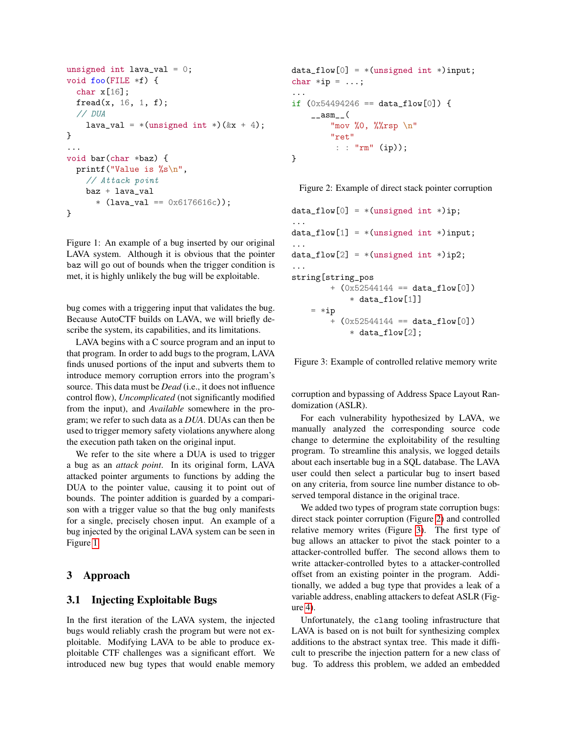```
unsigned int lava_val = 0;
void foo(FILE *f) {
  char x[16];
  fread(x, 16, 1, f);// DUA
    lava_val = *(unsigned int *)(kx + 4);
}
...
void bar(char *baz) {
  printf("Value is %s\n",
    // Attack point
    baz + lava_val
      * (lava_val == 0x6176616c);
}
```
<span id="page-2-0"></span>Figure 1: An example of a bug inserted by our original LAVA system. Although it is obvious that the pointer baz will go out of bounds when the trigger condition is met, it is highly unlikely the bug will be exploitable.

bug comes with a triggering input that validates the bug. Because AutoCTF builds on LAVA, we will briefly describe the system, its capabilities, and its limitations.

LAVA begins with a C source program and an input to that program. In order to add bugs to the program, LAVA finds unused portions of the input and subverts them to introduce memory corruption errors into the program's source. This data must be *Dead* (i.e., it does not influence control flow), *Uncomplicated* (not significantly modified from the input), and *Available* somewhere in the program; we refer to such data as a *DUA*. DUAs can then be used to trigger memory safety violations anywhere along the execution path taken on the original input.

We refer to the site where a DUA is used to trigger a bug as an *attack point*. In its original form, LAVA attacked pointer arguments to functions by adding the DUA to the pointer value, causing it to point out of bounds. The pointer addition is guarded by a comparison with a trigger value so that the bug only manifests for a single, precisely chosen input. An example of a bug injected by the original LAVA system can be seen in Figure [1.](#page-2-0)

## <span id="page-2-3"></span>3 Approach

### 3.1 Injecting Exploitable Bugs

In the first iteration of the LAVA system, the injected bugs would reliably crash the program but were not exploitable. Modifying LAVA to be able to produce exploitable CTF challenges was a significant effort. We introduced new bug types that would enable memory

```
data_flow[0] = * ( unsigned int *) input;char *ip = ...;...
if (0x54494246 == data_flow[0]) {
    _{--}asm_{--}(
        "mov %0, %%rsp \n"
        "ret"
         : : "rm" (ip));
}
```
<span id="page-2-1"></span>Figure 2: Example of direct stack pointer corruption

```
data_flow[0] = * (unsigned int *)ip;...
data_flow[1] = * (unsigned int *) input;...
data_flow[2] = *(\text{unsigned int } *)\text{ ip2};...
string[string_pos
        + (0x52544144 == data_flow[0])* data_flow[1]]
    = *ip+ (0x52544144 == data_flow[0])
             * data_flow[2];
```
<span id="page-2-2"></span>Figure 3: Example of controlled relative memory write

corruption and bypassing of Address Space Layout Randomization (ASLR).

For each vulnerability hypothesized by LAVA, we manually analyzed the corresponding source code change to determine the exploitability of the resulting program. To streamline this analysis, we logged details about each insertable bug in a SQL database. The LAVA user could then select a particular bug to insert based on any criteria, from source line number distance to observed temporal distance in the original trace.

We added two types of program state corruption bugs: direct stack pointer corruption (Figure [2\)](#page-2-1) and controlled relative memory writes (Figure [3\)](#page-2-2). The first type of bug allows an attacker to pivot the stack pointer to a attacker-controlled buffer. The second allows them to write attacker-controlled bytes to a attacker-controlled offset from an existing pointer in the program. Additionally, we added a bug type that provides a leak of a variable address, enabling attackers to defeat ASLR (Figure [4\)](#page-3-0).

Unfortunately, the clang tooling infrastructure that LAVA is based on is not built for synthesizing complex additions to the abstract syntax tree. This made it difficult to prescribe the injection pattern for a new class of bug. To address this problem, we added an embedded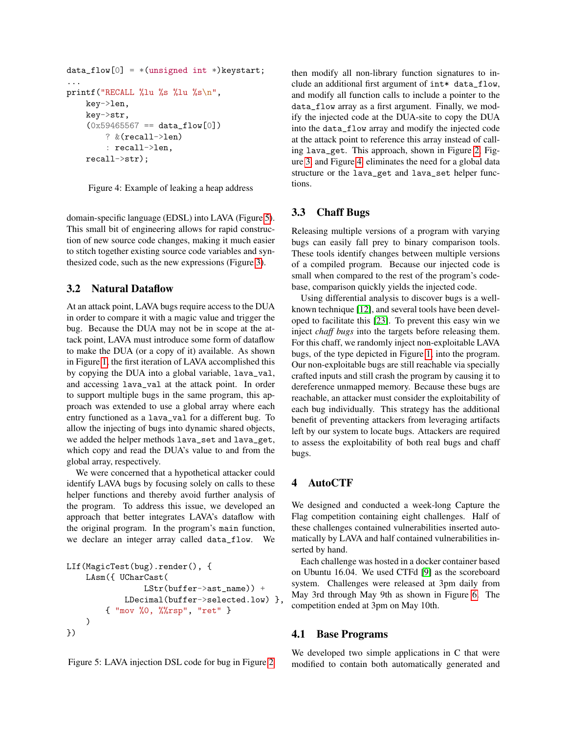```
data_flow[0] = * (unsigned int *) keystart;...
printf("RECALL %lu %s %lu %s\n",
    key->len,
    key->str,
    (0x59465567 == data_flow[0])? &(recall->len)
        : recall->len,
    recall->str);
```
<span id="page-3-0"></span>Figure 4: Example of leaking a heap address

domain-specific language (EDSL) into LAVA (Figure [5\)](#page-3-1). This small bit of engineering allows for rapid construction of new source code changes, making it much easier to stitch together existing source code variables and synthesized code, such as the new expressions (Figure [3\)](#page-2-2).

# 3.2 Natural Dataflow

At an attack point, LAVA bugs require access to the DUA in order to compare it with a magic value and trigger the bug. Because the DUA may not be in scope at the attack point, LAVA must introduce some form of dataflow to make the DUA (or a copy of it) available. As shown in Figure [1,](#page-2-0) the first iteration of LAVA accomplished this by copying the DUA into a global variable, lava\_val, and accessing lava\_val at the attack point. In order to support multiple bugs in the same program, this approach was extended to use a global array where each entry functioned as a lava\_val for a different bug. To allow the injecting of bugs into dynamic shared objects, we added the helper methods lava\_set and lava\_get, which copy and read the DUA's value to and from the global array, respectively.

We were concerned that a hypothetical attacker could identify LAVA bugs by focusing solely on calls to these helper functions and thereby avoid further analysis of the program. To address this issue, we developed an approach that better integrates LAVA's dataflow with the original program. In the program's main function, we declare an integer array called data\_flow. We

```
LIf(MagicTest(bug).render(), {
    LAsm({ UCharCast(
                LStr(buffer->ast_name)) +
            LDecimal(buffer->selected.low) },
        { "mov %0, %%rsp", "ret" }
    )
})
```
<span id="page-3-1"></span>Figure 5: LAVA injection DSL code for bug in Figure [2](#page-2-1)

then modify all non-library function signatures to include an additional first argument of int\* data\_flow, and modify all function calls to include a pointer to the data\_flow array as a first argument. Finally, we modify the injected code at the DUA-site to copy the DUA into the data\_flow array and modify the injected code at the attack point to reference this array instead of calling lava\_get. This approach, shown in Figure [2,](#page-2-1) Figure [3,](#page-2-2) and Figure [4,](#page-3-0) eliminates the need for a global data structure or the lava\_get and lava\_set helper functions.

# <span id="page-3-2"></span>3.3 Chaff Bugs

Releasing multiple versions of a program with varying bugs can easily fall prey to binary comparison tools. These tools identify changes between multiple versions of a compiled program. Because our injected code is small when compared to the rest of the program's codebase, comparison quickly yields the injected code.

Using differential analysis to discover bugs is a wellknown technique [\[12\]](#page-8-7), and several tools have been developed to facilitate this [\[23\]](#page-9-1). To prevent this easy win we inject *chaff bugs* into the targets before releasing them. For this chaff, we randomly inject non-exploitable LAVA bugs, of the type depicted in Figure [1,](#page-2-0) into the program. Our non-exploitable bugs are still reachable via specially crafted inputs and still crash the program by causing it to dereference unmapped memory. Because these bugs are reachable, an attacker must consider the exploitability of each bug individually. This strategy has the additional benefit of preventing attackers from leveraging artifacts left by our system to locate bugs. Attackers are required to assess the exploitability of both real bugs and chaff bugs.

# 4 AutoCTF

We designed and conducted a week-long Capture the Flag competition containing eight challenges. Half of these challenges contained vulnerabilities inserted automatically by LAVA and half contained vulnerabilities inserted by hand.

Each challenge was hosted in a docker container based on Ubuntu 16.04. We used CTFd [\[9\]](#page-8-8) as the scoreboard system. Challenges were released at 3pm daily from May 3rd through May 9th as shown in Figure [6.](#page-5-0) The competition ended at 3pm on May 10th.

## 4.1 Base Programs

We developed two simple applications in C that were modified to contain both automatically generated and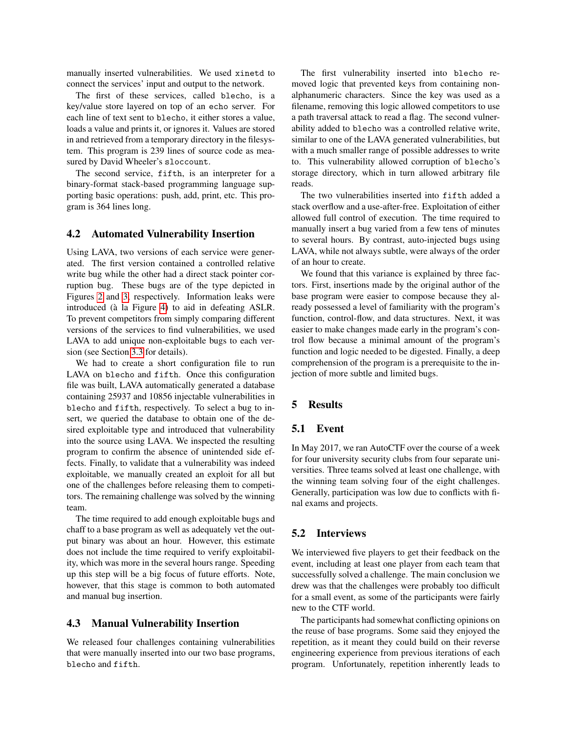manually inserted vulnerabilities. We used xinetd to connect the services' input and output to the network.

The first of these services, called blecho, is a key/value store layered on top of an echo server. For each line of text sent to blecho, it either stores a value, loads a value and prints it, or ignores it. Values are stored in and retrieved from a temporary directory in the filesystem. This program is 239 lines of source code as measured by David Wheeler's sloccount.

The second service, fifth, is an interpreter for a binary-format stack-based programming language supporting basic operations: push, add, print, etc. This program is 364 lines long.

#### 4.2 Automated Vulnerability Insertion

Using LAVA, two versions of each service were generated. The first version contained a controlled relative write bug while the other had a direct stack pointer corruption bug. These bugs are of the type depicted in Figures [2](#page-2-1) and [3,](#page-2-2) respectively. Information leaks were introduced (à la Figure [4\)](#page-3-0) to aid in defeating ASLR. To prevent competitors from simply comparing different versions of the services to find vulnerabilities, we used LAVA to add unique non-exploitable bugs to each version (see Section [3.3](#page-3-2) for details).

We had to create a short configuration file to run LAVA on blecho and fifth. Once this configuration file was built, LAVA automatically generated a database containing 25937 and 10856 injectable vulnerabilities in blecho and fifth, respectively. To select a bug to insert, we queried the database to obtain one of the desired exploitable type and introduced that vulnerability into the source using LAVA. We inspected the resulting program to confirm the absence of unintended side effects. Finally, to validate that a vulnerability was indeed exploitable, we manually created an exploit for all but one of the challenges before releasing them to competitors. The remaining challenge was solved by the winning team.

The time required to add enough exploitable bugs and chaff to a base program as well as adequately vet the output binary was about an hour. However, this estimate does not include the time required to verify exploitability, which was more in the several hours range. Speeding up this step will be a big focus of future efforts. Note, however, that this stage is common to both automated and manual bug insertion.

#### 4.3 Manual Vulnerability Insertion

We released four challenges containing vulnerabilities that were manually inserted into our two base programs, blecho and fifth.

The first vulnerability inserted into blecho removed logic that prevented keys from containing nonalphanumeric characters. Since the key was used as a filename, removing this logic allowed competitors to use a path traversal attack to read a flag. The second vulnerability added to blecho was a controlled relative write, similar to one of the LAVA generated vulnerabilities, but with a much smaller range of possible addresses to write to. This vulnerability allowed corruption of blecho's storage directory, which in turn allowed arbitrary file reads.

The two vulnerabilities inserted into fifth added a stack overflow and a use-after-free. Exploitation of either allowed full control of execution. The time required to manually insert a bug varied from a few tens of minutes to several hours. By contrast, auto-injected bugs using LAVA, while not always subtle, were always of the order of an hour to create.

We found that this variance is explained by three factors. First, insertions made by the original author of the base program were easier to compose because they already possessed a level of familiarity with the program's function, control-flow, and data structures. Next, it was easier to make changes made early in the program's control flow because a minimal amount of the program's function and logic needed to be digested. Finally, a deep comprehension of the program is a prerequisite to the injection of more subtle and limited bugs.

### <span id="page-4-0"></span>5 Results

#### 5.1 Event

In May 2017, we ran AutoCTF over the course of a week for four university security clubs from four separate universities. Three teams solved at least one challenge, with the winning team solving four of the eight challenges. Generally, participation was low due to conflicts with final exams and projects.

#### 5.2 Interviews

We interviewed five players to get their feedback on the event, including at least one player from each team that successfully solved a challenge. The main conclusion we drew was that the challenges were probably too difficult for a small event, as some of the participants were fairly new to the CTF world.

The participants had somewhat conflicting opinions on the reuse of base programs. Some said they enjoyed the repetition, as it meant they could build on their reverse engineering experience from previous iterations of each program. Unfortunately, repetition inherently leads to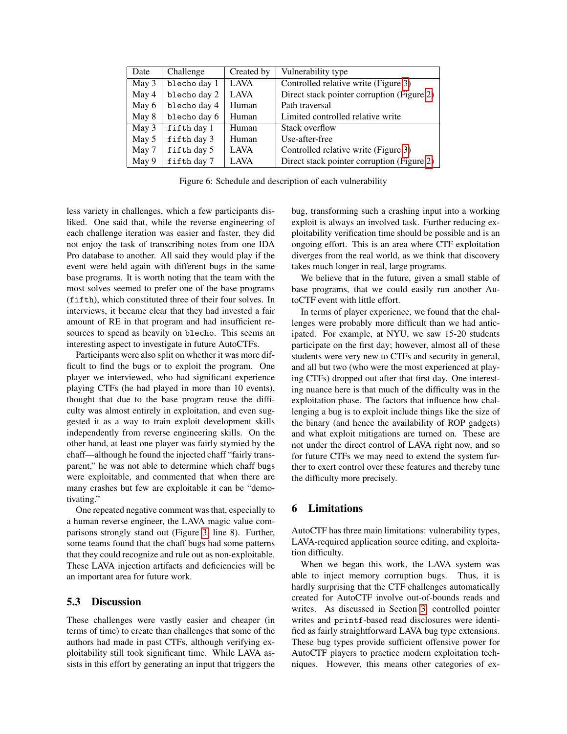| Date  | Challenge    | Created by  | Vulnerability type                         |
|-------|--------------|-------------|--------------------------------------------|
| May 3 | blecho day 1 | <b>LAVA</b> | Controlled relative write (Figure 3)       |
| May 4 | blecho day 2 | <b>LAVA</b> | Direct stack pointer corruption (Figure 2) |
| May 6 | blecho day 4 | Human       | Path traversal                             |
| May 8 | blecho day 6 | Human       | Limited controlled relative write          |
| May 3 | fifth day 1  | Human       | Stack overflow                             |
| May 5 | fifth day 3  | Human       | Use-after-free                             |
| May 7 | fifth day 5  | <b>LAVA</b> | Controlled relative write (Figure 3)       |
| May 9 | fifth day 7  | <b>LAVA</b> | Direct stack pointer corruption (Figure 2) |

<span id="page-5-0"></span>Figure 6: Schedule and description of each vulnerability

less variety in challenges, which a few participants disliked. One said that, while the reverse engineering of each challenge iteration was easier and faster, they did not enjoy the task of transcribing notes from one IDA Pro database to another. All said they would play if the event were held again with different bugs in the same base programs. It is worth noting that the team with the most solves seemed to prefer one of the base programs (fifth), which constituted three of their four solves. In interviews, it became clear that they had invested a fair amount of RE in that program and had insufficient resources to spend as heavily on blecho. This seems an interesting aspect to investigate in future AutoCTFs.

Participants were also split on whether it was more difficult to find the bugs or to exploit the program. One player we interviewed, who had significant experience playing CTFs (he had played in more than 10 events), thought that due to the base program reuse the difficulty was almost entirely in exploitation, and even suggested it as a way to train exploit development skills independently from reverse engineering skills. On the other hand, at least one player was fairly stymied by the chaff—although he found the injected chaff "fairly transparent," he was not able to determine which chaff bugs were exploitable, and commented that when there are many crashes but few are exploitable it can be "demotivating."

One repeated negative comment was that, especially to a human reverse engineer, the LAVA magic value comparisons strongly stand out (Figure [3,](#page-2-2) line 8). Further, some teams found that the chaff bugs had some patterns that they could recognize and rule out as non-exploitable. These LAVA injection artifacts and deficiencies will be an important area for future work.

#### 5.3 Discussion

These challenges were vastly easier and cheaper (in terms of time) to create than challenges that some of the authors had made in past CTFs, although verifying exploitability still took significant time. While LAVA assists in this effort by generating an input that triggers the bug, transforming such a crashing input into a working exploit is always an involved task. Further reducing exploitability verification time should be possible and is an ongoing effort. This is an area where CTF exploitation diverges from the real world, as we think that discovery takes much longer in real, large programs.

We believe that in the future, given a small stable of base programs, that we could easily run another AutoCTF event with little effort.

In terms of player experience, we found that the challenges were probably more difficult than we had anticipated. For example, at NYU, we saw 15-20 students participate on the first day; however, almost all of these students were very new to CTFs and security in general, and all but two (who were the most experienced at playing CTFs) dropped out after that first day. One interesting nuance here is that much of the difficulty was in the exploitation phase. The factors that influence how challenging a bug is to exploit include things like the size of the binary (and hence the availability of ROP gadgets) and what exploit mitigations are turned on. These are not under the direct control of LAVA right now, and so for future CTFs we may need to extend the system further to exert control over these features and thereby tune the difficulty more precisely.

### 6 Limitations

AutoCTF has three main limitations: vulnerability types, LAVA-required application source editing, and exploitation difficulty.

When we began this work, the LAVA system was able to inject memory corruption bugs. Thus, it is hardly surprising that the CTF challenges automatically created for AutoCTF involve out-of-bounds reads and writes. As discussed in Section [3,](#page-2-3) controlled pointer writes and printf-based read disclosures were identified as fairly straightforward LAVA bug type extensions. These bug types provide sufficient offensive power for AutoCTF players to practice modern exploitation techniques. However, this means other categories of ex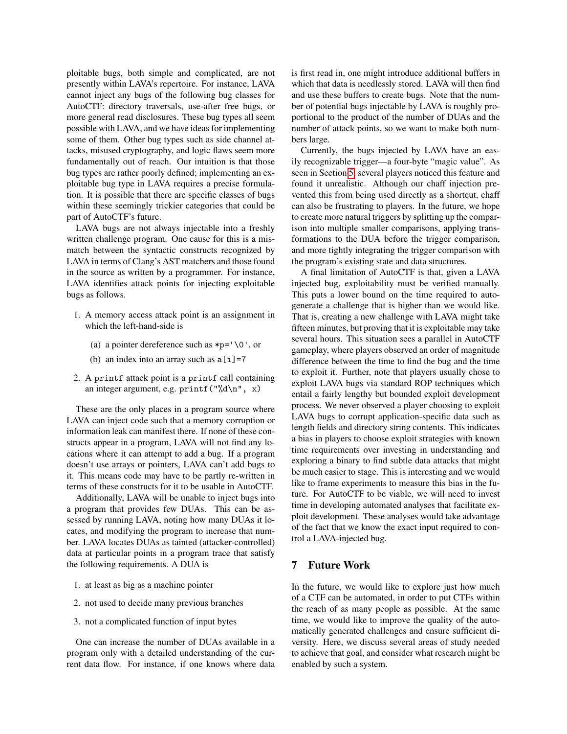ploitable bugs, both simple and complicated, are not presently within LAVA's repertoire. For instance, LAVA cannot inject any bugs of the following bug classes for AutoCTF: directory traversals, use-after free bugs, or more general read disclosures. These bug types all seem possible with LAVA, and we have ideas for implementing some of them. Other bug types such as side channel attacks, misused cryptography, and logic flaws seem more fundamentally out of reach. Our intuition is that those bug types are rather poorly defined; implementing an exploitable bug type in LAVA requires a precise formulation. It is possible that there are specific classes of bugs within these seemingly trickier categories that could be part of AutoCTF's future.

LAVA bugs are not always injectable into a freshly written challenge program. One cause for this is a mismatch between the syntactic constructs recognized by LAVA in terms of Clang's AST matchers and those found in the source as written by a programmer. For instance, LAVA identifies attack points for injecting exploitable bugs as follows.

- 1. A memory access attack point is an assignment in which the left-hand-side is
	- (a) a pointer dereference such as  $\ast p = \sqrt{0}$ , or
	- (b) an index into an array such as  $a[i]=7$
- 2. A printf attack point is a printf call containing an integer argument, e.g. printf("%d\n", x)

These are the only places in a program source where LAVA can inject code such that a memory corruption or information leak can manifest there. If none of these constructs appear in a program, LAVA will not find any locations where it can attempt to add a bug. If a program doesn't use arrays or pointers, LAVA can't add bugs to it. This means code may have to be partly re-written in terms of these constructs for it to be usable in AutoCTF.

Additionally, LAVA will be unable to inject bugs into a program that provides few DUAs. This can be assessed by running LAVA, noting how many DUAs it locates, and modifying the program to increase that number. LAVA locates DUAs as tainted (attacker-controlled) data at particular points in a program trace that satisfy the following requirements. A DUA is

- 1. at least as big as a machine pointer
- 2. not used to decide many previous branches
- 3. not a complicated function of input bytes

One can increase the number of DUAs available in a program only with a detailed understanding of the current data flow. For instance, if one knows where data is first read in, one might introduce additional buffers in which that data is needlessly stored. LAVA will then find and use these buffers to create bugs. Note that the number of potential bugs injectable by LAVA is roughly proportional to the product of the number of DUAs and the number of attack points, so we want to make both numbers large.

Currently, the bugs injected by LAVA have an easily recognizable trigger—a four-byte "magic value". As seen in Section [5,](#page-4-0) several players noticed this feature and found it unrealistic. Although our chaff injection prevented this from being used directly as a shortcut, chaff can also be frustrating to players. In the future, we hope to create more natural triggers by splitting up the comparison into multiple smaller comparisons, applying transformations to the DUA before the trigger comparison, and more tightly integrating the trigger comparison with the program's existing state and data structures.

A final limitation of AutoCTF is that, given a LAVA injected bug, exploitability must be verified manually. This puts a lower bound on the time required to autogenerate a challenge that is higher than we would like. That is, creating a new challenge with LAVA might take fifteen minutes, but proving that it is exploitable may take several hours. This situation sees a parallel in AutoCTF gameplay, where players observed an order of magnitude difference between the time to find the bug and the time to exploit it. Further, note that players usually chose to exploit LAVA bugs via standard ROP techniques which entail a fairly lengthy but bounded exploit development process. We never observed a player choosing to exploit LAVA bugs to corrupt application-specific data such as length fields and directory string contents. This indicates a bias in players to choose exploit strategies with known time requirements over investing in understanding and exploring a binary to find subtle data attacks that might be much easier to stage. This is interesting and we would like to frame experiments to measure this bias in the future. For AutoCTF to be viable, we will need to invest time in developing automated analyses that facilitate exploit development. These analyses would take advantage of the fact that we know the exact input required to control a LAVA-injected bug.

## 7 Future Work

In the future, we would like to explore just how much of a CTF can be automated, in order to put CTFs within the reach of as many people as possible. At the same time, we would like to improve the quality of the automatically generated challenges and ensure sufficient diversity. Here, we discuss several areas of study needed to achieve that goal, and consider what research might be enabled by such a system.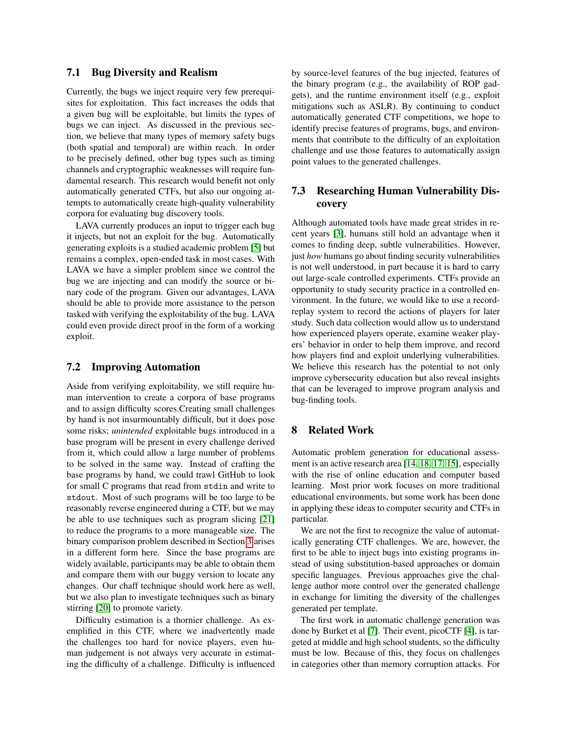## 7.1 Bug Diversity and Realism

Currently, the bugs we inject require very few prerequisites for exploitation. This fact increases the odds that a given bug will be exploitable, but limits the types of bugs we can inject. As discussed in the previous section, we believe that many types of memory safety bugs (both spatial and temporal) are within reach. In order to be precisely defined, other bug types such as timing channels and cryptographic weaknesses will require fundamental research. This research would benefit not only automatically generated CTFs, but also our ongoing attempts to automatically create high-quality vulnerability corpora for evaluating bug discovery tools.

LAVA currently produces an input to trigger each bug it injects, but not an exploit for the bug. Automatically generating exploits is a studied academic problem [\[5\]](#page-8-9) but remains a complex, open-ended task in most cases. With LAVA we have a simpler problem since we control the bug we are injecting and can modify the source or binary code of the program. Given our advantages, LAVA should be able to provide more assistance to the person tasked with verifying the exploitability of the bug. LAVA could even provide direct proof in the form of a working exploit.

### 7.2 Improving Automation

Aside from verifying exploitability, we still require human intervention to create a corpora of base programs and to assign difficulty scores.Creating small challenges by hand is not insurmountably difficult, but it does pose some risks; *unintended* exploitable bugs introduced in a base program will be present in every challenge derived from it, which could allow a large number of problems to be solved in the same way. Instead of crafting the base programs by hand, we could trawl GitHub to look for small C programs that read from stdin and write to stdout. Most of such programs will be too large to be reasonably reverse engineered during a CTF, but we may be able to use techniques such as program slicing [\[21\]](#page-9-2) to reduce the programs to a more manageable size. The binary comparison problem described in Section [3](#page-2-3) arises in a different form here. Since the base programs are widely available, participants may be able to obtain them and compare them with our buggy version to locate any changes. Our chaff technique should work here as well, but we also plan to investigate techniques such as binary stirring [\[20\]](#page-9-3) to promote variety.

Difficulty estimation is a thornier challenge. As exemplified in this CTF, where we inadvertently made the challenges too hard for novice players, even human judgement is not always very accurate in estimating the difficulty of a challenge. Difficulty is influenced by source-level features of the bug injected, features of the binary program (e.g., the availability of ROP gadgets), and the runtime environment itself (e.g., exploit mitigations such as ASLR). By continuing to conduct automatically generated CTF competitions, we hope to identify precise features of programs, bugs, and environments that contribute to the difficulty of an exploitation challenge and use those features to automatically assign point values to the generated challenges.

## 7.3 Researching Human Vulnerability Discovery

Although automated tools have made great strides in recent years [\[3\]](#page-8-10), humans still hold an advantage when it comes to finding deep, subtle vulnerabilities. However, just *how* humans go about finding security vulnerabilities is not well understood, in part because it is hard to carry out large-scale controlled experiments. CTFs provide an opportunity to study security practice in a controlled environment. In the future, we would like to use a recordreplay system to record the actions of players for later study. Such data collection would allow us to understand how experienced players operate, examine weaker players' behavior in order to help them improve, and record how players find and exploit underlying vulnerabilities. We believe this research has the potential to not only improve cybersecurity education but also reveal insights that can be leveraged to improve program analysis and bug-finding tools.

### 8 Related Work

Automatic problem generation for educational assessment is an active research area [\[14,](#page-8-11) [18,](#page-9-4) [17,](#page-9-5) [15\]](#page-8-12), especially with the rise of online education and computer based learning. Most prior work focuses on more traditional educational environments, but some work has been done in applying these ideas to computer security and CTFs in particular.

We are not the first to recognize the value of automatically generating CTF challenges. We are, however, the first to be able to inject bugs into existing programs instead of using substitution-based approaches or domain specific languages. Previous approaches give the challenge author more control over the generated challenge in exchange for limiting the diversity of the challenges generated per template.

The first work in automatic challenge generation was done by Burket et al [\[7\]](#page-8-13). Their event, picoCTF [\[4\]](#page-8-14), is targeted at middle and high school students, so the difficulty must be low. Because of this, they focus on challenges in categories other than memory corruption attacks. For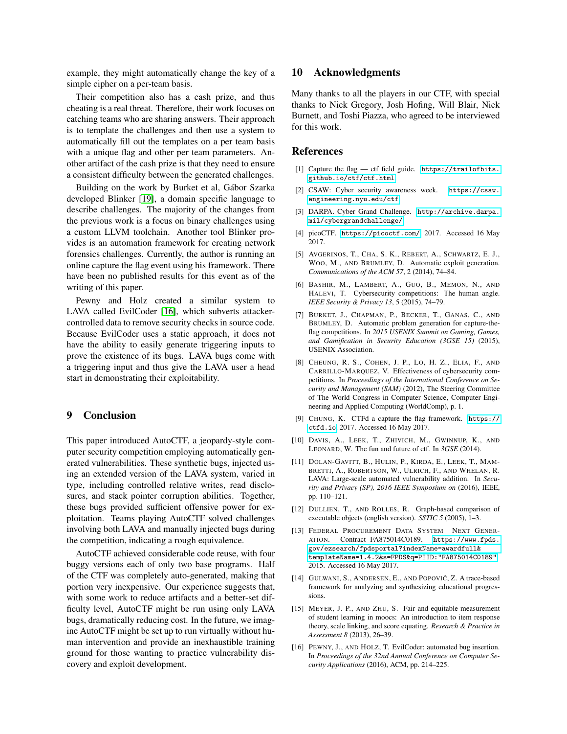example, they might automatically change the key of a simple cipher on a per-team basis.

Their competition also has a cash prize, and thus cheating is a real threat. Therefore, their work focuses on catching teams who are sharing answers. Their approach is to template the challenges and then use a system to automatically fill out the templates on a per team basis with a unique flag and other per team parameters. Another artifact of the cash prize is that they need to ensure a consistent difficulty between the generated challenges.

Building on the work by Burket et al, Gábor Szarka developed Blinker [\[19\]](#page-9-6), a domain specific language to describe challenges. The majority of the changes from the previous work is a focus on binary challenges using a custom LLVM toolchain. Another tool Blinker provides is an automation framework for creating network forensics challenges. Currently, the author is running an online capture the flag event using his framework. There have been no published results for this event as of the writing of this paper.

Pewny and Holz created a similar system to LAVA called EvilCoder [\[16\]](#page-8-15), which subverts attackercontrolled data to remove security checks in source code. Because EvilCoder uses a static approach, it does not have the ability to easily generate triggering inputs to prove the existence of its bugs. LAVA bugs come with a triggering input and thus give the LAVA user a head start in demonstrating their exploitability.

#### 9 Conclusion

This paper introduced AutoCTF, a jeopardy-style computer security competition employing automatically generated vulnerabilities. These synthetic bugs, injected using an extended version of the LAVA system, varied in type, including controlled relative writes, read disclosures, and stack pointer corruption abilities. Together, these bugs provided sufficient offensive power for exploitation. Teams playing AutoCTF solved challenges involving both LAVA and manually injected bugs during the competition, indicating a rough equivalence.

AutoCTF achieved considerable code reuse, with four buggy versions each of only two base programs. Half of the CTF was completely auto-generated, making that portion very inexpensive. Our experience suggests that, with some work to reduce artifacts and a better-set difficulty level, AutoCTF might be run using only LAVA bugs, dramatically reducing cost. In the future, we imagine AutoCTF might be set up to run virtually without human intervention and provide an inexhaustible training ground for those wanting to practice vulnerability discovery and exploit development.

#### 10 Acknowledgments

Many thanks to all the players in our CTF, with special thanks to Nick Gregory, Josh Hofing, Will Blair, Nick Burnett, and Toshi Piazza, who agreed to be interviewed for this work.

#### References

- <span id="page-8-4"></span>[1] Capture the flag — ctf field guide. [https://trailofbits.](https://trailofbits.github.io/ctf/ctf.html) [github.io/ctf/ctf.html](https://trailofbits.github.io/ctf/ctf.html).
- <span id="page-8-3"></span>[2] CSAW: Cyber security awareness week. [https://csaw.](https://csaw.engineering.nyu.edu/ctf) [engineering.nyu.edu/ctf](https://csaw.engineering.nyu.edu/ctf).
- <span id="page-8-10"></span>[3] DARPA. Cyber Grand Challenge. [http://archive.darpa.](http://archive.darpa.mil/cybergrandchallenge/) [mil/cybergrandchallenge/](http://archive.darpa.mil/cybergrandchallenge/).
- <span id="page-8-14"></span>[4] picoCTF. <https://picoctf.com/>, 2017. Accessed 16 May 2017.
- <span id="page-8-9"></span>[5] AVGERINOS, T., CHA, S. K., REBERT, A., SCHWARTZ, E. J., WOO, M., AND BRUMLEY, D. Automatic exploit generation. *Communications of the ACM 57*, 2 (2014), 74–84.
- <span id="page-8-1"></span>[6] BASHIR, M., LAMBERT, A., GUO, B., MEMON, N., AND HALEVI, T. Cybersecurity competitions: The human angle. *IEEE Security & Privacy 13*, 5 (2015), 74–79.
- <span id="page-8-13"></span>[7] BURKET, J., CHAPMAN, P., BECKER, T., GANAS, C., AND BRUMLEY, D. Automatic problem generation for capture-theflag competitions. In *2015 USENIX Summit on Gaming, Games, and Gamification in Security Education (3GSE 15)* (2015), USENIX Association.
- <span id="page-8-2"></span>[8] CHEUNG, R. S., COHEN, J. P., LO, H. Z., ELIA, F., AND CARRILLO-MARQUEZ, V. Effectiveness of cybersecurity competitions. In *Proceedings of the International Conference on Security and Management (SAM)* (2012), The Steering Committee of The World Congress in Computer Science, Computer Engineering and Applied Computing (WorldComp), p. 1.
- <span id="page-8-8"></span>[9] CHUNG, K. CTFd a capture the flag framework. [https://](https://ctfd.io) [ctfd.io](https://ctfd.io), 2017. Accessed 16 May 2017.
- <span id="page-8-0"></span>[10] DAVIS, A., LEEK, T., ZHIVICH, M., GWINNUP, K., AND LEONARD, W. The fun and future of ctf. In *3GSE* (2014).
- <span id="page-8-5"></span>[11] DOLAN-GAVITT, B., HULIN, P., KIRDA, E., LEEK, T., MAM-BRETTI, A., ROBERTSON, W., ULRICH, F., AND WHELAN, R. LAVA: Large-scale automated vulnerability addition. In *Security and Privacy (SP), 2016 IEEE Symposium on* (2016), IEEE, pp. 110–121.
- <span id="page-8-7"></span>[12] DULLIEN, T., AND ROLLES, R. Graph-based comparison of executable objects (english version). *SSTIC 5* (2005), 1–3.
- <span id="page-8-6"></span>[13] FEDERAL PROCUREMENT DATA SYSTEM NEXT GENER-ATION. Contract FA875014C0189. [https://www.fpds.](https://www.fpds.gov/ezsearch/fpdsportal?indexName=awardfull&templateName=1.4.2&s=FPDS&q=PIID:"FA875014C0189") [gov/ezsearch/fpdsportal?indexName=awardfull&](https://www.fpds.gov/ezsearch/fpdsportal?indexName=awardfull&templateName=1.4.2&s=FPDS&q=PIID:"FA875014C0189") [templateName=1.4.2&s=FPDS&q=PIID:"FA875014C0189"](https://www.fpds.gov/ezsearch/fpdsportal?indexName=awardfull&templateName=1.4.2&s=FPDS&q=PIID:"FA875014C0189"), 2015. Accessed 16 May 2017.
- <span id="page-8-11"></span>[14] GULWANI, S., ANDERSEN, E., AND POPOVIĆ, Z. A trace-based framework for analyzing and synthesizing educational progressions.
- <span id="page-8-12"></span>[15] MEYER, J. P., AND ZHU, S. Fair and equitable measurement of student learning in moocs: An introduction to item response theory, scale linking, and score equating. *Research & Practice in Assessment 8* (2013), 26–39.
- <span id="page-8-15"></span>[16] PEWNY, J., AND HOLZ, T. EvilCoder: automated bug insertion. In *Proceedings of the 32nd Annual Conference on Computer Security Applications* (2016), ACM, pp. 214–225.